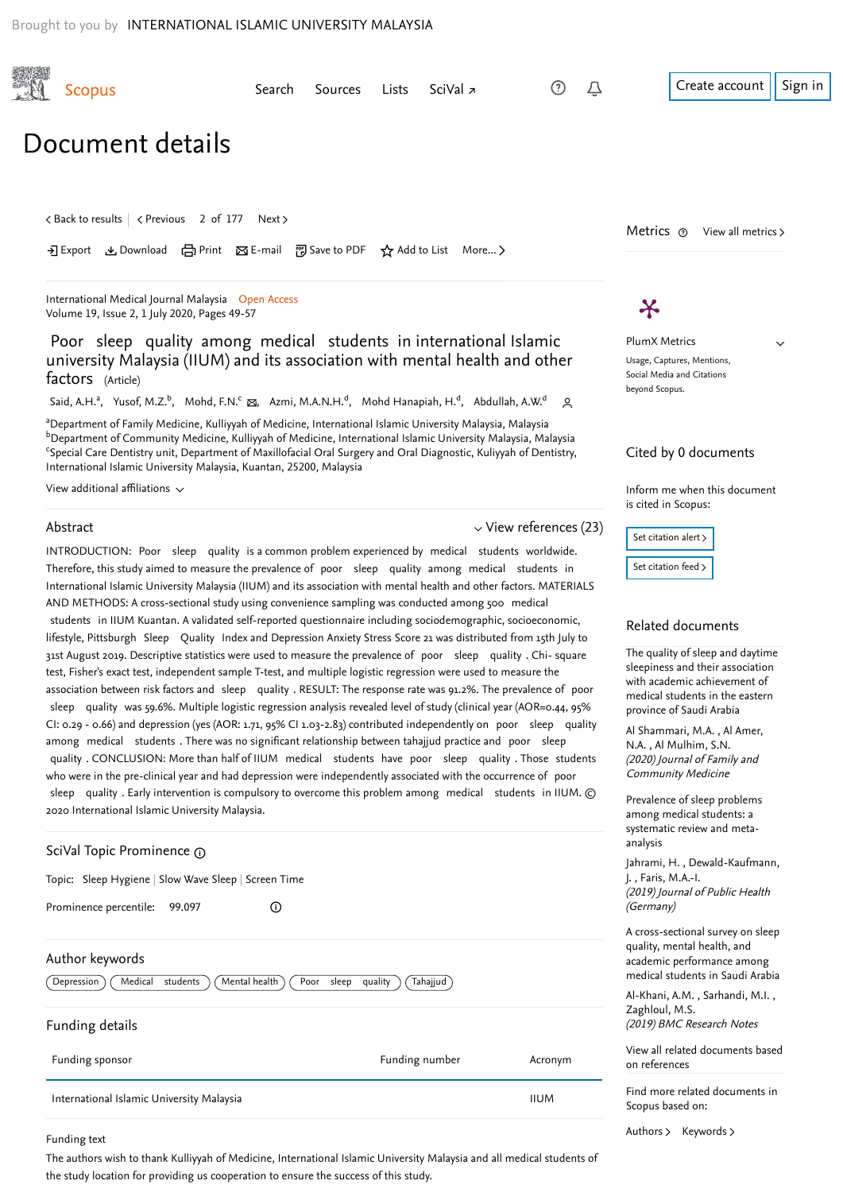an cik She

<span id="page-0-1"></span>

| <b>Scopus</b>                                                                                                                                                                                                                                                                                                                                                                                                                                                                                                                                                                                                                       | Search<br>Sources                                                                                                                                                                                                                                                                                                                                                                                                                                                                                                                                                                                                                                                                                                                                                                                                                                                                                                                                                                    | SciVal z<br>Lists                                                                                           | (?)<br>Û                    | Create account<br>Sign in                                                                                                                                                                |
|-------------------------------------------------------------------------------------------------------------------------------------------------------------------------------------------------------------------------------------------------------------------------------------------------------------------------------------------------------------------------------------------------------------------------------------------------------------------------------------------------------------------------------------------------------------------------------------------------------------------------------------|--------------------------------------------------------------------------------------------------------------------------------------------------------------------------------------------------------------------------------------------------------------------------------------------------------------------------------------------------------------------------------------------------------------------------------------------------------------------------------------------------------------------------------------------------------------------------------------------------------------------------------------------------------------------------------------------------------------------------------------------------------------------------------------------------------------------------------------------------------------------------------------------------------------------------------------------------------------------------------------|-------------------------------------------------------------------------------------------------------------|-----------------------------|------------------------------------------------------------------------------------------------------------------------------------------------------------------------------------------|
| Document details                                                                                                                                                                                                                                                                                                                                                                                                                                                                                                                                                                                                                    |                                                                                                                                                                                                                                                                                                                                                                                                                                                                                                                                                                                                                                                                                                                                                                                                                                                                                                                                                                                      |                                                                                                             |                             |                                                                                                                                                                                          |
| くBack to results   くPrevious 2 of 177 Next >                                                                                                                                                                                                                                                                                                                                                                                                                                                                                                                                                                                        | • • Export と Download (금 Print ⊠ E-mail ⊡ Save to PDF ☆ Add to List More >                                                                                                                                                                                                                                                                                                                                                                                                                                                                                                                                                                                                                                                                                                                                                                                                                                                                                                           |                                                                                                             |                             | Metrics $\odot$ View all metrics $\ge$                                                                                                                                                   |
| International Medical Journal Malaysia Open Access<br>Volume 19, Issue 2, 1 July 2020, Pages 49-57                                                                                                                                                                                                                                                                                                                                                                                                                                                                                                                                  |                                                                                                                                                                                                                                                                                                                                                                                                                                                                                                                                                                                                                                                                                                                                                                                                                                                                                                                                                                                      |                                                                                                             |                             | Ӿ                                                                                                                                                                                        |
| Poor sleep quality among medical students in international Islamic<br>university Malaysia (IIUM) and its association with mental health and other<br>factors (Article)                                                                                                                                                                                                                                                                                                                                                                                                                                                              |                                                                                                                                                                                                                                                                                                                                                                                                                                                                                                                                                                                                                                                                                                                                                                                                                                                                                                                                                                                      | PlumX Metrics<br>$\checkmark$<br>Usage, Captures, Mentions,<br>Social Media and Citations<br>beyond Scopus. |                             |                                                                                                                                                                                          |
| Said, A.H. <sup>a</sup> , Yusof, M.Z. <sup>b</sup> , Mohd, F.N. <sup>c</sup> &, Azmi, M.A.N.H. <sup>d</sup> , Mohd Hanapiah, H. <sup>d</sup> , Abdullah, A.W. <sup>d</sup><br>ു<br>aDepartment of Family Medicine, Kulliyyah of Medicine, International Islamic University Malaysia, Malaysia<br><sup>b</sup> Department of Community Medicine, Kulliyyah of Medicine, International Islamic University Malaysia, Malaysia<br><sup>c</sup> Special Care Dentistry unit, Department of Maxillofacial Oral Surgery and Oral Diagnostic, Kuliyyah of Dentistry,<br>International Islamic University Malaysia, Kuantan, 25200, Malaysia |                                                                                                                                                                                                                                                                                                                                                                                                                                                                                                                                                                                                                                                                                                                                                                                                                                                                                                                                                                                      |                                                                                                             | Cited by 0 documents        |                                                                                                                                                                                          |
| View additional affiliations $\sim$                                                                                                                                                                                                                                                                                                                                                                                                                                                                                                                                                                                                 |                                                                                                                                                                                                                                                                                                                                                                                                                                                                                                                                                                                                                                                                                                                                                                                                                                                                                                                                                                                      |                                                                                                             |                             | Inform me when this document<br>is cited in Scopus:                                                                                                                                      |
| Abstract                                                                                                                                                                                                                                                                                                                                                                                                                                                                                                                                                                                                                            | INTRODUCTION: Poor sleep quality is a common problem experienced by medical students worldwide.<br>Therefore, this study aimed to measure the prevalence of poor sleep quality among medical students in<br>International Islamic University Malaysia (IIUM) and its association with mental health and other factors. MATERIALS                                                                                                                                                                                                                                                                                                                                                                                                                                                                                                                                                                                                                                                     |                                                                                                             | $\vee$ View references (23) | Set citation alert ><br>Set citation feed $>$                                                                                                                                            |
|                                                                                                                                                                                                                                                                                                                                                                                                                                                                                                                                                                                                                                     | AND METHODS: A cross-sectional study using convenience sampling was conducted among 500 medical<br>students in IIUM Kuantan. A validated self-reported questionnaire including sociodemographic, socioeconomic,<br>lifestyle, Pittsburgh Sleep Quality Index and Depression Anxiety Stress Score 21 was distributed from 15th July to<br>31st August 2019. Descriptive statistics were used to measure the prevalence of poor sleep quality . Chi- square<br>test, Fisher's exact test, independent sample T-test, and multiple logistic regression were used to measure the<br>association between risk factors and sleep quality . RESULT: The response rate was 91.2%. The prevalence of poor<br>sleep quality was 59.6%. Multiple logistic regression analysis revealed level of study (clinical year (AOR=0.44, 95%<br>$C_{1,2,2,3}$ , $\lambda$ and decorating (i.e. (AOD) and $\lambda$ $C_{1,2,3}$ and $\lambda$ contributed indicated additional property of the set of the |                                                                                                             |                             | Related documents<br>The quality of sleep and daytime<br>sleepiness and their association<br>with academic achievement of<br>medical students in the eastern<br>province of Saudi Arabia |

<span id="page-0-0"></span>[Al Shammari, M.A.](https://www.scopus.com/authid/detail.uri?origin=recordpage&authorId=57217465969&zone=relatedDocuments) , Al Amer, , N.A. [Al Mulhim, S.N.](https://www.scopus.com/authid/detail.uri?origin=recordpage&authorId=57217590234&zone=relatedDocuments) (2020) Journal of Family and Community Medicine

Prevalence of sleep problems among medical students: a [systematic review and meta](https://www.scopus.com/record/display.uri?origin=recordpage&zone=relatedDocuments&eid=2-s2.0-85072042362&citeCnt=0&noHighlight=false&sort=plf-f&src=s&st1=Poor+Sleep+Quality+among+Medical+Students&st2=&sid=ba9d5414e55f88705ec544f2c6220fb0&sot=b&sdt=b&sl=56&s=TITLE-ABS-KEY%28Poor+Sleep+Quality+among+Medical+Students%29&relpos=1)analysis

, [Jahrami, H.](https://www.scopus.com/authid/detail.uri?origin=recordpage&authorId=24391114300&zone=relatedDocuments) [Dewald-Kaufmann,](https://www.scopus.com/authid/detail.uri?origin=recordpage&authorId=55624954400&zone=relatedDocuments) , J. [Faris, M.A.-I.](https://www.scopus.com/authid/detail.uri?origin=recordpage&authorId=36872872300&zone=relatedDocuments) (2019) Journal of Public Health (Germany)

A cross-sectional survey on sleep quality, mental health, and academic performance among [medical students in Saudi Arabia](https://www.scopus.com/record/display.uri?origin=recordpage&zone=relatedDocuments&eid=2-s2.0-85073744923&citeCnt=0&noHighlight=false&sort=plf-f&src=s&st1=Poor+Sleep+Quality+among+Medical+Students&st2=&sid=ba9d5414e55f88705ec544f2c6220fb0&sot=b&sdt=b&sl=56&s=TITLE-ABS-KEY%28Poor+Sleep+Quality+among+Medical+Students%29&relpos=2)

[Al-Khani, A.M.](https://www.scopus.com/authid/detail.uri?origin=recordpage&authorId=57211387382&zone=relatedDocuments) , Sarhandi, M.I. , (2019) BMC Research Notes [Zaghloul, M.S.](https://www.scopus.com/authid/detail.uri?origin=recordpage&authorId=57202702079&zone=relatedDocuments)

[View all related documents based](https://www.scopus.com/search/submit/mlt.uri?eid=2-s2.0-85087873982&src=s&all=true&origin=recordpage&method=ref&zone=relatedDocuments) on references

Find more related documents in Scopus based on:

[Authors](https://www.scopus.com/search/submit/mlt.uri?eid=2-s2.0-85087873982&src=s&all=true&origin=recordpage&method=aut&zone=relatedDocuments) > [Keywords](https://www.scopus.com/search/submit/mlt.uri?eid=2-s2.0-85087873982&src=s&all=true&origin=recordpage&method=key&zone=relatedDocuments) >

CI: 0.29 - 0.66) and depression (yes (AOR: 1.71, 95% CI 1.03-2.83) contributed independently on poor sleep quality among medical students . There was no significant relationship between tahajjud practice and poor sleep quality . CONCLUSION: More than half of IIUM medical students have poor sleep quality . Those students who were in the pre-clinical year and had depression were independently associated with the occurrence of poor sleep quality . Early intervention is compulsory to overcome this problem among medical students in IIUM. © 2020 International Islamic University Malaysia.

## SciVal Topic Prominence

Topic: Sleep Hygiene | Slow Wave Sleep | Screen Time

Prominence percentile: 99.097

 $\odot$ 

## Author keywords

| Mental health<br>Medical<br>students<br>Depression | $\mathsf{Tahajjud}$<br>quality<br>Poor<br>sleep |             |
|----------------------------------------------------|-------------------------------------------------|-------------|
| Funding details                                    |                                                 |             |
| Funding sponsor                                    | Funding number                                  | Acronym     |
| International Islamic University Malaysia          |                                                 | <b>IIUM</b> |

#### Funding text

The authors wish to thank Kulliyyah of Medicine, International Islamic University Malaysia and all medical students of the study location for providing us cooperation to ensure the success of this study.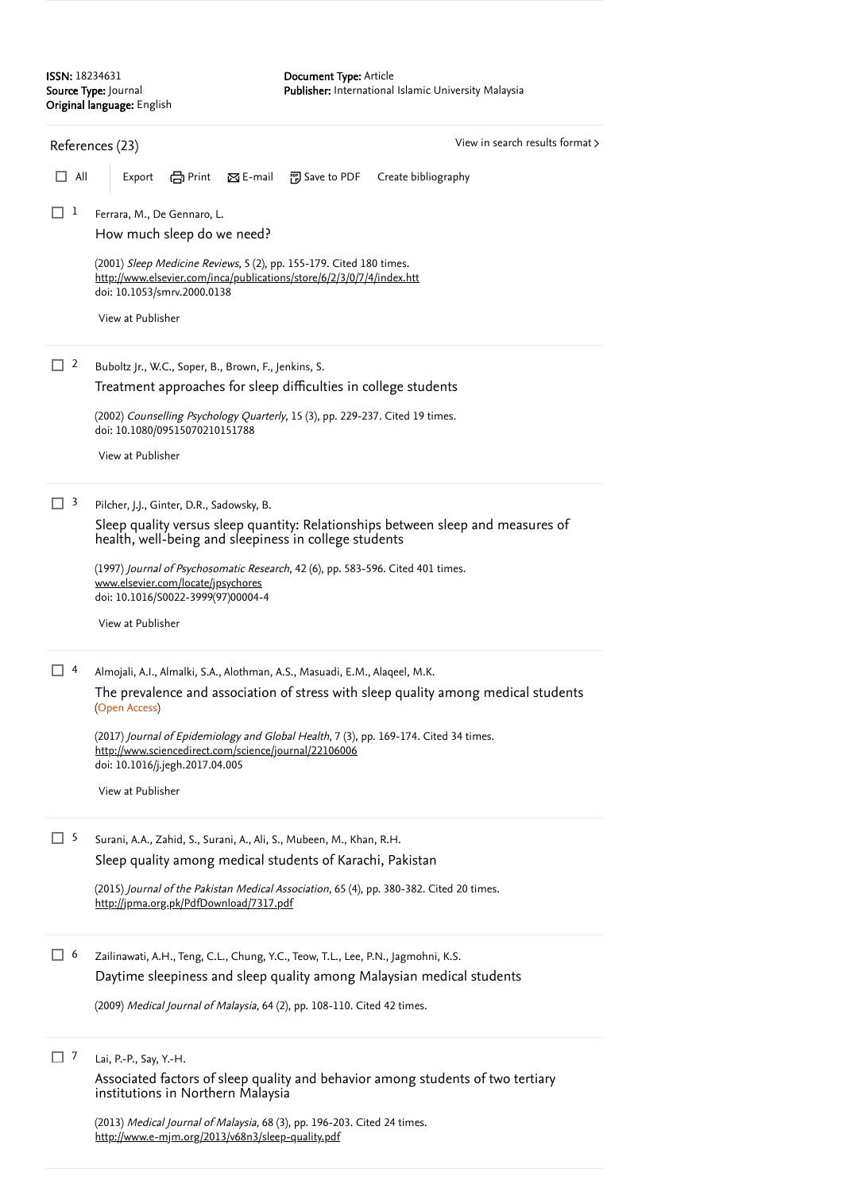<span id="page-1-0"></span>

|               | View in search results format ><br>References (23)                                                                                                                                |
|---------------|-----------------------------------------------------------------------------------------------------------------------------------------------------------------------------------|
| $\Box$<br>All | em Print<br>$\boxtimes$ E-mail<br>闸 Save to PDF<br>Export<br>Create bibliography                                                                                                  |
| ⊔ ⊥           | Ferrara, M., De Gennaro, L.<br>How much sleep do we need?                                                                                                                         |
|               | (2001) Sleep Medicine Reviews, 5 (2), pp. 155-179. Cited 180 times.<br>http://www.elsevier.com/inca/publications/store/6/2/3/0/7/4/index.htt<br>doi: 10.1053/smrv.2000.0138       |
|               | View at Publisher                                                                                                                                                                 |
| $\Box$ 2      | Buboltz Jr., W.C., Soper, B., Brown, F., Jenkins, S.                                                                                                                              |
|               | Treatment approaches for sleep difficulties in college students                                                                                                                   |
|               | (2002) Counselling Psychology Quarterly, 15 (3), pp. 229-237. Cited 19 times.<br>doi: 10.1080/09515070210151788                                                                   |
|               | View at Publisher                                                                                                                                                                 |
| $\Box$ 3      | Pilcher, J.J., Ginter, D.R., Sadowsky, B.                                                                                                                                         |
|               | Sleep quality versus sleep quantity: Relationships between sleep and measures of<br>health, well-being and sleepiness in college students                                         |
|               | (1997) Journal of Psychosomatic Research, 42 (6), pp. 583-596. Cited 401 times.<br>www.elsevier.com/locate/jpsychores<br>doi: 10.1016/S0022-3999(97)00004-4                       |
|               | View at Publisher                                                                                                                                                                 |
| □ 4           | Almojali, A.I., Almalki, S.A., Alothman, A.S., Masuadi, E.M., Alaqeel, M.K.                                                                                                       |
|               | The prevalence and association of stress with sleep quality among medical students<br>(Open Access)                                                                               |
|               | (2017) Journal of Epidemiology and Global Health, 7 (3), pp. 169-174. Cited 34 times.<br>http://www.sciencedirect.com/science/journal/22106006<br>doi: 10.1016/j.jegh.2017.04.005 |
|               | View at Publisher                                                                                                                                                                 |
| $\Box$ 5      | Surani, A.A., Zahid, S., Surani, A., Ali, S., Mubeen, M., Khan, R.H.                                                                                                              |
|               | Sleep quality among medical students of Karachi, Pakistan                                                                                                                         |
|               | (2015) Journal of the Pakistan Medical Association, 65 (4), pp. 380-382. Cited 20 times.<br>http://jpma.org.pk/PdfDownload/7317.pdf                                               |
| $\Box$ 6      | Zailinawati, A.H., Teng, C.L., Chung, Y.C., Teow, T.L., Lee, P.N., Jagmohni, K.S.                                                                                                 |
|               | Daytime sleepiness and sleep quality among Malaysian medical students                                                                                                             |
|               | (2009) Medical Journal of Malaysia, 64 (2), pp. 108-110. Cited 42 times.                                                                                                          |
| $\Box$ 7      | Lai, P.-P., Say, Y.-H.                                                                                                                                                            |
|               | Associated factors of sleep quality and behavior among students of two tertiary<br>institutions in Northern Malaysia                                                              |
|               | (2013) Medical Journal of Malaysia, 68 (3), pp. 196-203. Cited 24 times.                                                                                                          |

<http://www.e-mjm.org/2013/v68n3/sleep-quality.pdf>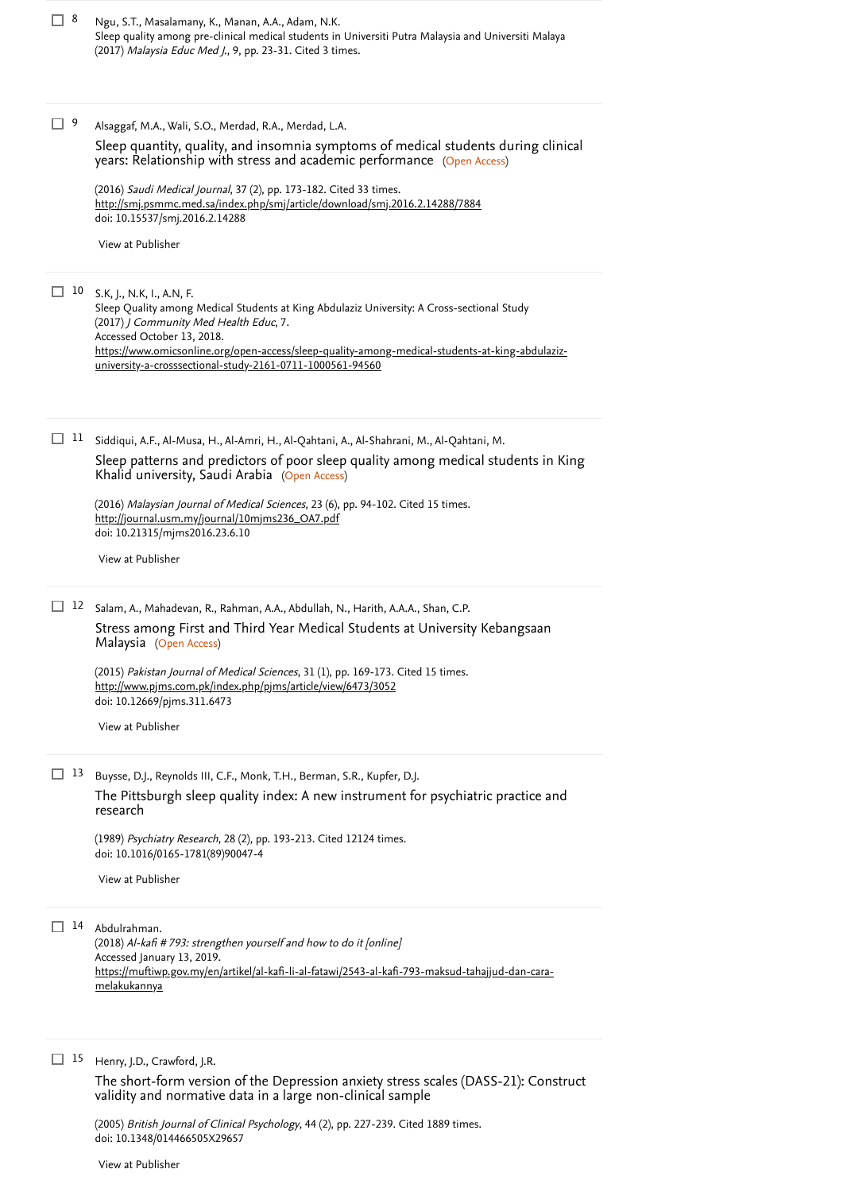| $\Box$ 8 | Ngu, S.T., Masalamany, K., Manan, A.A., Adam, N.K.                                                   |
|----------|------------------------------------------------------------------------------------------------------|
|          | Sleep quality among pre-clinical medical students in Universiti Putra Malaysia and Universiti Malaya |
|          | (2017) Malaysia Educ Med J., 9, pp. 23-31. Cited 3 times.                                            |
|          |                                                                                                      |
|          |                                                                                                      |

Alsaggaf, M.A., Wali, S.O., Merdad, R.A., Merdad, L.A.  $\Box$  9

> years: Relationship with stress and academic performance (Open Access) [Sleep quantity, quality, and insomnia symptoms of medical students during clinical](https://www.scopus.com/record/display.uri?eid=2-s2.0-84956947067&origin=reflist&sort=plf-f&src=s&st1=Poor+Sleep+Quality+among+Medical+Students&st2=&sid=ba9d5414e55f88705ec544f2c6220fb0&sot=b&sdt=b&sl=56&s=TITLE-ABS-KEY%28Poor+Sleep+Quality+among+Medical+Students%29&recordRank=)

(2016) *Saudi Medical Journal*, 37 (2), pp. 173-182. [Cited 33 times](https://www.scopus.com/search/submit/citedby.uri?eid=2-s2.0-85087873982&refeid=2-s2.0-84956947067&src=s&origin=reflist&refstat=core). doi: 10.15537/smj.2016.2.14288 <http://smj.psmmc.med.sa/index.php/smj/article/download/smj.2016.2.14288/7884>

[View at Publisher](https://www.scopus.com/redirect/linking.uri?targetURL=https%3a%2f%2fdoi.org%2f10.15537%2fsmj.2016.2.14288&locationID=3&categoryID=4&eid=2-s2.0-84956947067&issn=16583175&linkType=ViewAtPublisher&year=2016&origin=reflist&dig=251af1f6225eaf52e101d148392fa2cc&recordRank=)

# S.K, J., N.K, I., A.N, F. 10

Sleep Quality among Medical Students at King Abdulaziz University: A Cross-sectional Study (2017) J Community Med Health Educ, 7. Accessed October 13, 2018. [https://www.omicsonline.org/open-access/sleep-quality-among-medical-students-at-king-abdulaziz](https://www.omicsonline.org/open-access/sleep-quality-among-medical-students-at-king-abdulaziz-university-a-crosssectional-study-2161-0711-1000561-94560)university-a-crosssectional-study-2161-0711-1000561-94560

 $11$  Siddiqui, A.F., Al-Musa, H., Al-Amri, H., Al-Qahtani, A., Al-Shahrani, M., Al-Qahtani, M.

Khalid university, Saudi Arabia (Open Access) [Sleep patterns and predictors of poor sleep quality among medical students in King](https://www.scopus.com/record/display.uri?eid=2-s2.0-85003986571&origin=reflist&sort=plf-f&src=s&st1=Poor+Sleep+Quality+among+Medical+Students&st2=&sid=ba9d5414e55f88705ec544f2c6220fb0&sot=b&sdt=b&sl=56&s=TITLE-ABS-KEY%28Poor+Sleep+Quality+among+Medical+Students%29&recordRank=)

(2016) *Malaysian Journal of Medical Sciences*, 23 (6), pp. 94-102. [Cited 15 times](https://www.scopus.com/search/submit/citedby.uri?eid=2-s2.0-85087873982&refeid=2-s2.0-85003986571&src=s&origin=reflist&refstat=core).<br><u>[http://journal.usm.my/journal/10mjms236\\_OA7.pdf](http://journal.usm.my/journal/10mjms236_OA7.pdf)</u> doi: 10.21315/mjms2016.23.6.10

[View at Publisher](https://www.scopus.com/redirect/linking.uri?targetURL=https%3a%2f%2fdoi.org%2f10.21315%2fmjms2016.23.6.10&locationID=3&categoryID=4&eid=2-s2.0-85003986571&issn=21804303&linkType=ViewAtPublisher&year=2016&origin=reflist&dig=8163924f4e03965f13d792f1216ca92b&recordRank=)

12 Salam, A., Mahadevan, R., Rahman, A.A., Abdullah, N., Harith, A.A.A., Shan, C.P. Malaysia (Open Access) [Stress among First and Third Year Medical Students at University Kebangsaan](https://www.scopus.com/record/display.uri?eid=2-s2.0-84919784727&origin=reflist&sort=plf-f&src=s&st1=Poor+Sleep+Quality+among+Medical+Students&st2=&sid=ba9d5414e55f88705ec544f2c6220fb0&sot=b&sdt=b&sl=56&s=TITLE-ABS-KEY%28Poor+Sleep+Quality+among+Medical+Students%29&recordRank=)

(2015) *Pakistan Journal of Medical Sciences*, 31 (1), pp. 169-173. [Cited 15 times](https://www.scopus.com/search/submit/citedby.uri?eid=2-s2.0-85087873982&refeid=2-s2.0-84919784727&src=s&origin=reflist&refstat=core). doi: 10.12669/pjms.311.6473 <http://www.pjms.com.pk/index.php/pjms/article/view/6473/3052>

[View at Publisher](https://www.scopus.com/redirect/linking.uri?targetURL=https%3a%2f%2fdoi.org%2f10.12669%2fpjms.311.6473&locationID=3&categoryID=4&eid=2-s2.0-84919784727&issn=1682024X&linkType=ViewAtPublisher&year=2015&origin=reflist&dig=53604ff45cfa0b8f02010c95918e5ceb&recordRank=)

13 Buysse, D.J., Reynolds III, C.F., Monk, T.H., Berman, S.R., Kupfer, D.J. [The Pittsburgh sleep quality index: A new instrument for psychiatric practice and](https://www.scopus.com/record/display.uri?eid=2-s2.0-0024389366&origin=reflist&sort=plf-f&src=s&st1=Poor+Sleep+Quality+among+Medical+Students&st2=&sid=ba9d5414e55f88705ec544f2c6220fb0&sot=b&sdt=b&sl=56&s=TITLE-ABS-KEY%28Poor+Sleep+Quality+among+Medical+Students%29&recordRank=) research

(1989) *Psychiatry Research*, 28 (2), pp. 193-213. [Cited 12124 times](https://www.scopus.com/search/submit/citedby.uri?eid=2-s2.0-85087873982&refeid=2-s2.0-0024389366&src=s&origin=reflist&refstat=core). doi: 10.1016/0165-1781(89)90047-4

[View at Publisher](https://www.scopus.com/redirect/linking.uri?targetURL=https%3a%2f%2fdoi.org%2f10.1016%2f0165-1781%2889%2990047-4&locationID=3&categoryID=4&eid=2-s2.0-0024389366&issn=01651781&linkType=ViewAtPublisher&year=1989&origin=reflist&dig=a4a461231eea7d47343aae3b4a36751d&recordRank=)

14 Abdulrahman.

(2018) Al-kafi # 793: strengthen yourself and how to do it [online] Accessed January 13, 2019. [https://muftiwp.gov.my/en/artikel/al-kafi-li-al-fatawi/2543-al-kafi-793-maksud-tahajjud-dan-cara](https://muftiwp.gov.my/en/artikel/al-kafi-li-al-fatawi/2543-al-kafi-793-maksud-tahajjud-dan-cara-melakukannya)melakukannya

15 Henry, J.D., Crawford, J.R.

[The short-form version of the Depression anxiety stress scales \(DASS-21\): Construct](https://www.scopus.com/record/display.uri?eid=2-s2.0-21044440731&origin=reflist&sort=plf-f&src=s&st1=Poor+Sleep+Quality+among+Medical+Students&st2=&sid=ba9d5414e55f88705ec544f2c6220fb0&sot=b&sdt=b&sl=56&s=TITLE-ABS-KEY%28Poor+Sleep+Quality+among+Medical+Students%29&recordRank=) validity and normative data in a large non-clinical sample

(2005) *British Journal of Clinical Psychology*, 44 (2), pp. 227-239. [Cited 1889 times](https://www.scopus.com/search/submit/citedby.uri?eid=2-s2.0-85087873982&refeid=2-s2.0-21044440731&src=s&origin=reflist&refstat=core). doi: 10.1348/014466505X29657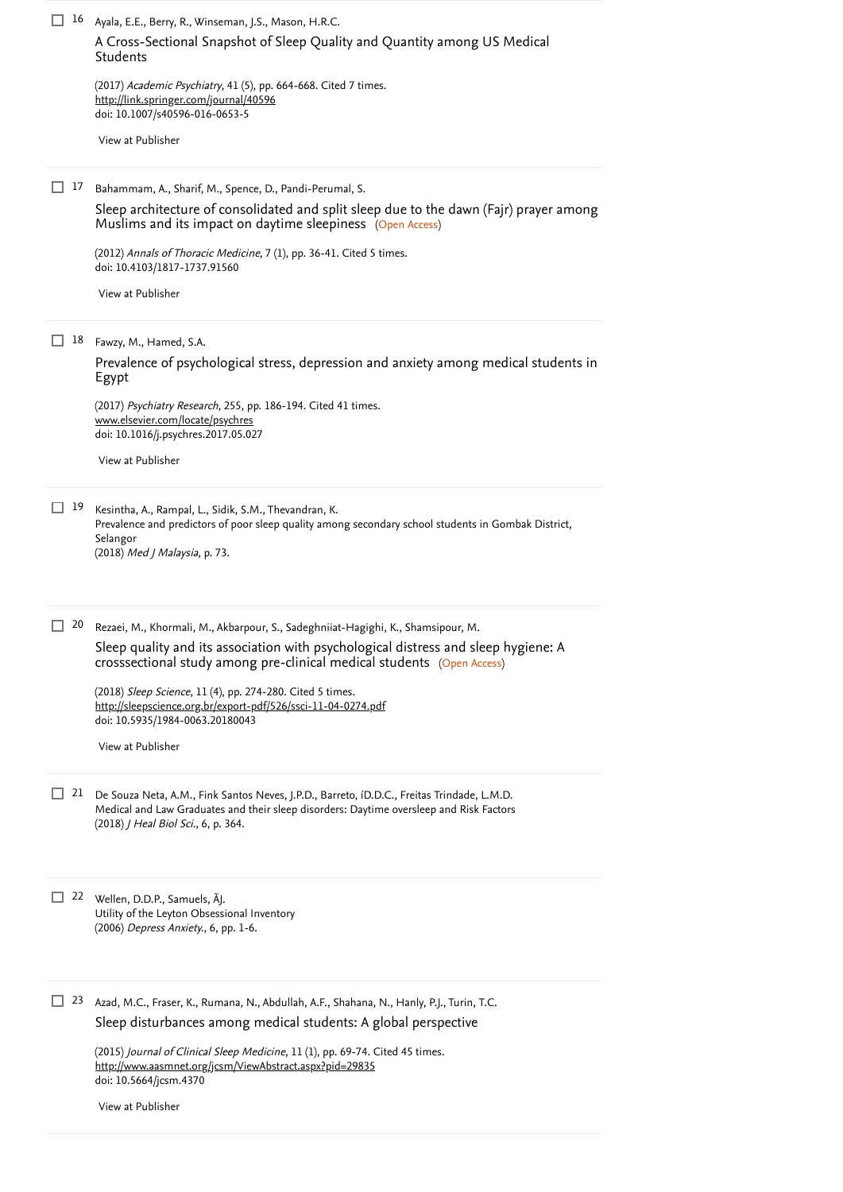| □<br>16<br>Ayala, E.E., Berry, R., Winseman, J.S., Mason, H.R.C.<br>A Cross-Sectional Snapshot of Sleep Quality and Quantity among US Medical                                                                                                                                                                                                                                                                                     |  |
|-----------------------------------------------------------------------------------------------------------------------------------------------------------------------------------------------------------------------------------------------------------------------------------------------------------------------------------------------------------------------------------------------------------------------------------|--|
| Students<br>(2017) Academic Psychiatry, 41 (5), pp. 664-668. Cited 7 times.<br>http://link.springer.com/journal/40596<br>doi: 10.1007/s40596-016-0653-5<br>View at Publisher                                                                                                                                                                                                                                                      |  |
| L<br>17<br>Bahammam, A., Sharif, M., Spence, D., Pandi-Perumal, S.<br>Sleep architecture of consolidated and split sleep due to the dawn (Fajr) prayer among<br>Muslims and its impact on daytime sleepiness (Open Access)                                                                                                                                                                                                        |  |
| (2012) Annals of Thoracic Medicine, 7 (1), pp. 36-41. Cited 5 times.<br>doi: 10.4103/1817-1737.91560<br>View at Publisher                                                                                                                                                                                                                                                                                                         |  |
| 18<br>ப<br>Fawzy, M., Hamed, S.A.<br>Prevalence of psychological stress, depression and anxiety among medical students in<br>Egypt                                                                                                                                                                                                                                                                                                |  |
| (2017) Psychiatry Research, 255, pp. 186-194. Cited 41 times.<br>www.elsevier.com/locate/psychres<br>doi: 10.1016/j.psychres.2017.05.027<br>View at Publisher                                                                                                                                                                                                                                                                     |  |
| П<br>19<br>Kesintha, A., Rampal, L., Sidik, S.M., Thevandran, K.<br>Prevalence and predictors of poor sleep quality among secondary school students in Gombak District,<br>Selangor<br>(2018) Med J Malaysia, p. 73.                                                                                                                                                                                                              |  |
| $\Box$<br>20<br>Rezaei, M., Khormali, M., Akbarpour, S., Sadeghniiat-Hagighi, K., Shamsipour, M.<br>Sleep quality and its association with psychological distress and sleep hygiene: A<br>crosssectional study among pre-clinical medical students (Open Access)<br>(2018) Sleep Science, 11 (4), pp. 274-280. Cited 5 times.<br>http://sleepscience.org.br/export-pdf/526/ssci-11-04-0274.pdf<br>doi: 10.5935/1984-0063.20180043 |  |
| View at Publisher<br>21<br>ப<br>De Souza Neta, A.M., Fink Santos Neves, J.P.D., Barreto, íD.D.C., Freitas Trindade, L.M.D.<br>Medical and Law Graduates and their sleep disorders: Daytime oversleep and Risk Factors<br>(2018) J Heal Biol Sci., 6, p. 364.                                                                                                                                                                      |  |
| ш<br>22 Wellen, D.D.P., Samuels, AJ.<br>Utility of the Leyton Obsessional Inventory<br>(2006) Depress Anxiety., 6, pp. 1-6.                                                                                                                                                                                                                                                                                                       |  |
| 23<br>ப<br>Azad, M.C., Fraser, K., Rumana, N., Abdullah, A.F., Shahana, N., Hanly, P.J., Turin, T.C.<br>Sleep disturbances among medical students: A global perspective<br>(2015) Journal of Clinical Sleep Medicine, 11 (1), pp. 69-74. Cited 45 times.<br>http://www.aasmnet.org/jcsm/ViewAbstract.aspx?pid=29835<br>doi: 10.5664/jcsm.4370<br>View at Publisher                                                                |  |